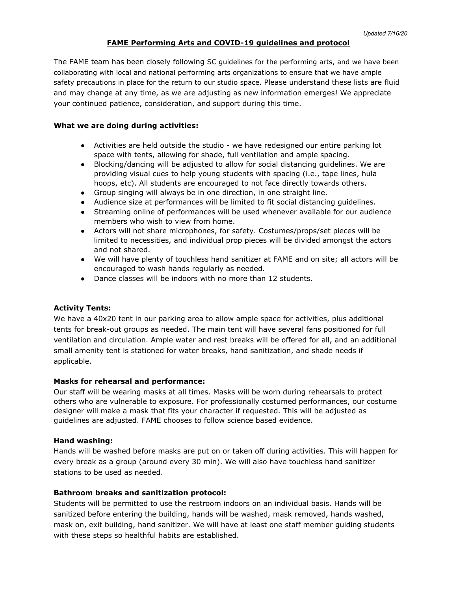## **FAME Performing Arts and COVID-19 guidelines and protocol**

The FAME team has been closely following SC guidelines for the performing arts, and we have been collaborating with local and national performing arts organizations to ensure that we have ample safety precautions in place for the return to our studio space. Please understand these lists are fluid and may change at any time, as we are adjusting as new information emerges! We appreciate your continued patience, consideration, and support during this time.

#### **What we are doing during activities:**

- Activities are held outside the studio we have redesigned our entire parking lot space with tents, allowing for shade, full ventilation and ample spacing.
- Blocking/dancing will be adjusted to allow for social distancing guidelines. We are providing visual cues to help young students with spacing (i.e., tape lines, hula hoops, etc). All students are encouraged to not face directly towards others.
- Group singing will always be in one direction, in one straight line.
- Audience size at performances will be limited to fit social distancing guidelines.
- Streaming online of performances will be used whenever available for our audience members who wish to view from home.
- Actors will not share microphones, for safety. Costumes/props/set pieces will be limited to necessities, and individual prop pieces will be divided amongst the actors and not shared.
- We will have plenty of touchless hand sanitizer at FAME and on site; all actors will be encouraged to wash hands regularly as needed.
- Dance classes will be indoors with no more than 12 students.

#### **Activity Tents:**

We have a 40x20 tent in our parking area to allow ample space for activities, plus additional tents for break-out groups as needed. The main tent will have several fans positioned for full ventilation and circulation. Ample water and rest breaks will be offered for all, and an additional small amenity tent is stationed for water breaks, hand sanitization, and shade needs if applicable.

#### **Masks for rehearsal and performance:**

Our staff will be wearing masks at all times. Masks will be worn during rehearsals to protect others who are vulnerable to exposure. For professionally costumed performances, our costume designer will make a mask that fits your character if requested. This will be adjusted as guidelines are adjusted. FAME chooses to follow science based evidence.

#### **Hand washing:**

Hands will be washed before masks are put on or taken off during activities. This will happen for every break as a group (around every 30 min). We will also have touchless hand sanitizer stations to be used as needed.

#### **Bathroom breaks and sanitization protocol:**

Students will be permitted to use the restroom indoors on an individual basis. Hands will be sanitized before entering the building, hands will be washed, mask removed, hands washed, mask on, exit building, hand sanitizer. We will have at least one staff member guiding students with these steps so healthful habits are established.